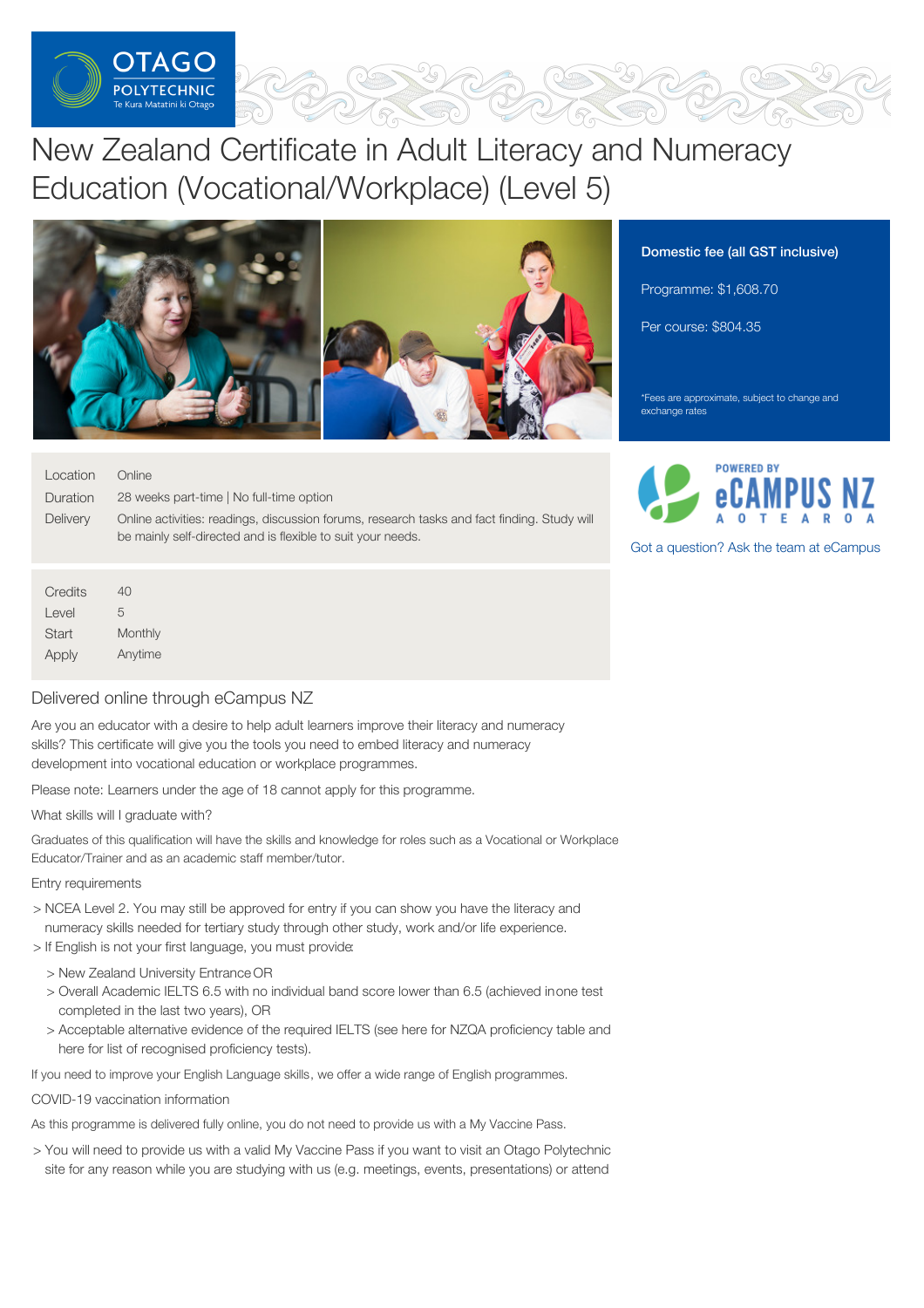

# New Zealand Certificate in Adult Literacy and Numeracy Education (Vocational/Workplace) (Level 5)



### Domestic fee (all GST inclusive)

Programme: \$1,608.70

Per course: \$804.35

\*Fees are approximate, subject to change and exchange rates

| Location | Online                                                                                      |
|----------|---------------------------------------------------------------------------------------------|
| Duration | 28 weeks part-time   No full-time option                                                    |
| Delivery | Online activities: readings, discussion forums, research tasks and fact finding. Study will |
|          | be mainly self-directed and is flexible to suit your needs.                                 |
|          |                                                                                             |
| Credits  | 40                                                                                          |

 $|P(X|)$ **Start** Apply 5 **Monthly** Anytime

## Delivered online through eCampus NZ

Are you an educator with a desire to help adult learners improve their literacy and numeracy skills? This certificate will give you the tools you need to embed literacy and numeracy development into vocational education or workplace programmes.

Please note: Learners under the age of 18 cannot apply for this programme.

What skills will I graduate with?

Graduates of this qualification will have the skills and knowledge for roles such as a Vocational or Workplace Educator/Trainer and as an academic staff member/tutor.

#### Entry requirements

- > NCEA Level 2. You may still be approved for entry if you can show you have the literacy and numeracy skills needed for tertiary study through other study, work and/or life experience.
- > If English is not your first language, you must provide:
	- > New Zealand University Entrance OR
	- > Overall Academic IELTS 6.5 with no individual band score lower than 6.5 (achieved inone test completed in the last two years), OR
	- > Acceptable alternative evidence of the required IELTS (see here for NZQA proficiency table and here for list of recognised proficiency tests).

If you need to improve your English Language skills, we offer a wide range of English programmes.

#### COVID-19 vaccination information

As this programme is delivered fully online, you do not need to provide us with a My Vaccine Pass.

> You will need to provide us with a valid My Vaccine Pass if you want to visit an Otago Polytechnic site for any reason while you are studying with us (e.g. meetings, events, presentations) or attend



Got a [question?](https://www.tanzecampus.com/teacher-education/new-zealand-certificate-adult-tertiary-teaching-level-5?itp=op) Ask the team at eCampus